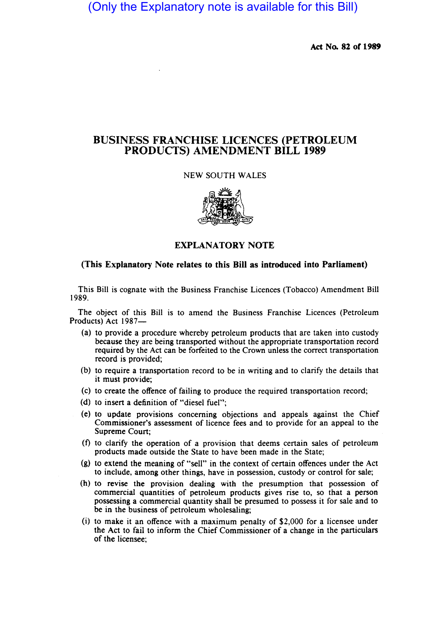(Only the Explanatory note is available for this Bill)

Act No. 82 or 1989

# BUSINESS FRANCHISE LICENCES (PETROLEUM PRODUCTS) AMENDMENT BILL 1989

## NEW SOUTH WALES



## EXPLANATORY NOTE

## (This Explanatory Note relates to this Bill as introduced into Parliament)

This Bill is cognate with the Business Franchise Licences (Tobacco) Amendment Bill 1989.

The object of this Bill is to amend the Business Franchise Licences (Petroleum Products) Act 1987-

- (a) to provide a procedure whereby petroleum products that are taken into custody because they are being transported without the appropriate transportation record required by the Act can be forfeited to the Crown unless the correct transportation record is provided;
- (b) to require a transportation record to be in writing and to clarify the details that it must provide;
- (c) to create the offence of failing to produce the required transportation record;
- (d) to insert a definition of "diesel fuel";
- (e) to update provisions concerning objections and appeals against the Chief Commissioner's assessment of licence fees and to provide for an appeal to the Supreme Court;
- $(f)$  to clarify the operation of a provision that deems certain sales of petroleum products made outside the State to have been made in the State;
- (g) to extend the meaning of "sell" in the context of certain offences under the Act to include, among other things, have in possession, custody or control for sale;
- (h) to revise the provision dealing with the presumption that possession of commercial quantities of petroleum products gives rise to, so that a person possessing a commercial quantity shall be presumed to possess it for sale and to be in the business of petroleum wholesaling;
- (i) to make it an offence with a maximum penalty of \$2,000 for a licensee under the Act to fail to inform the Chief Commissioner of a change in the particulars of the licensee;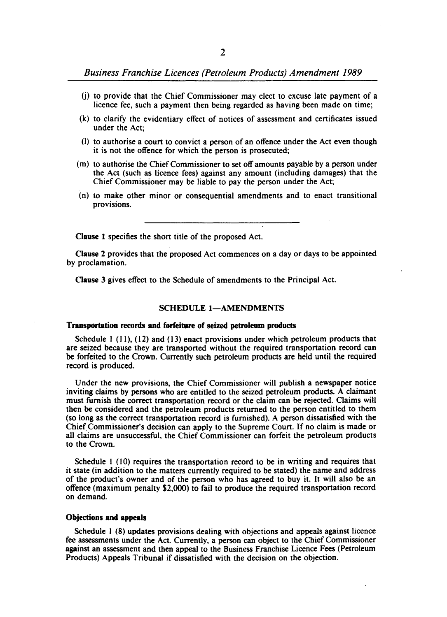*Business Franchise Licences (Petroleum Products) Amendment 1989* 

- (j) to provide that the Chief Commissioner may elect to excuse late payment of a licence fee, such a payment then being regarded as having been made on time;
- (k) to clarify the evidentiary effect of notices of assessment and certificates issued under the Act;
- (I) to authorise a court to convict a person of an offence under the Act even though it is not the offence for which the person is prosecuted;
- (m) to authorise the Chief Commissioner to set off amounts payable by a person under the Act (such as licence fees) against any amount (including damages) that the Chief Commissioner may be liable to pay the person under the Act;
- (n) to make other minor or consequential amendments and to enact transitional provisions.

Clause I specifies the short title of the proposed Act.

Clause 2 provides that the proposed Act commences on a day or days to be appointed by proclamation.

Clause 3 gives effect to the Schedule of amendments to the Principal Act.

#### SCHEDULE 1-AMENDMENTS

#### Transportation records and forfeiture of seized petroleum products

Schedule I (11), (12) and (13) enact provisions under which petroleum products that are seized because they are transported without the required transportation record can be forfeited to the Crown. Currently such petroleum products are held until the required record is produced.

Under the new provisions, the Chief Commissioner will publish a newspaper notice inviting claims by persons who are entitled to the seized petroleum products. A claimant must furnish the correct transportation record or the claim can be rejected. Claims will then be considered and the petroleum products returned to the person entitled to them (so long as the correct transportation record is furnished). A person dissatisfied with the Chief.Commissioner's decision can apply to the Supreme Court. If no claim is made or all claims are unsuccessful, the Chief Commissioner can forfeit the petroleum products to the Crown.

Schedule I (10) requires the transportation record to be in writing and requires that it state (in addition to the matters currently required to be stated) the name and address of the product's owner and of the person who has agreed to buy it. It will also be an offence (maximum penalty \$2,000) to fail to produce the required transportation record on demand.

### Objections and appeals

Schedule I (8) updates provisions dealing with objections and appeals against licence fee assessments under the Act. Currently, a person can object to the Chief Commissioner against an assessment and then appeal to the Business Franchise Licence Fees (Petroleum Products) Appeals Tribunal if dissatisfied with the decision on the objection.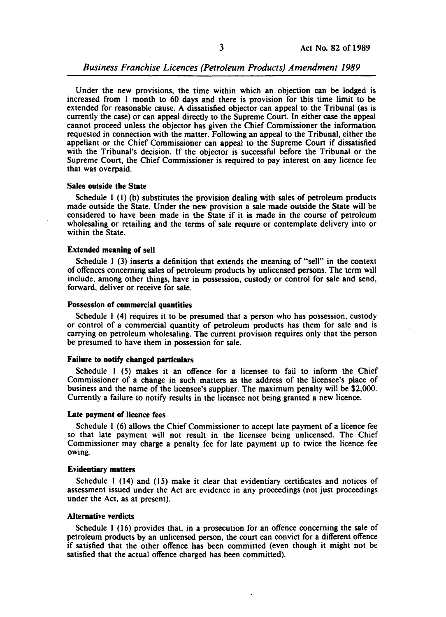Under the new provisions, the time within which an objection can be lodged is increased from I month to 60 days and there is provision for this time limit to be extended for reasonable cause. A dissatisfied objector can appeal to the Tribunal (as is currently the case) or can appeal directly to the Supreme Court. In either case the appeal cannot proceed unless the objector has given the Chief Commissioner the information requested in connection with the matter. Following an appeal to the Tribunal, either the appellant or the Chief Commissioner can appeal to the Supreme Court if dissatisfied with the Tribunal's decision. If the objector is successful before the Tribunal or the Supreme Court, the Chief Commissioner is required to pay interest on any licence fee that was overpaid.

### Sales outside the State

Schedule I (I) (b) substitutes the provision dealing with sales of petroleum products made outside the State. Under the new provision a sale made outside the State will be considered to have been made in the State if it is made in the course of petroleum wholesaling or retailing and the terms of sale require or contemplate delivery into or within the State.

### Extended meaning of sell

Schedule 1 (3) inserts a definition that extends the meaning of "sell" in the context of offences concerning sales of petroleum products by unlicensed persons. The term will include, among other things, have in possession, custody or control for sale and send, forward, deliver or receive for sale.

### Possession of commercial quantities

Schedule 1 (4) requires it to be presumed that a person who has possession, custody or control of a commercial quantity of petroleum products has them for sale and is carrying on petroleum wholesaling. The current provision requires only that the person be presumed to have them in possession for sale.

### Failure to notify changed particulars

Schedule I (5) makes it an offence for a licensee to fail to inform the Chief Commissioner of a change in such matters as the address of the licensee's place of business and the name of the licensee's supplier. The maximum penalty will be \$2,000. Currently a failure to notify results in the licensee not being granted a new licence.

#### Late payment of licence fees

Schedule I (6) allows the Chief Commissioner to accept late payment of a licence fee so that late payment will not result in the licensee being unlicensed. The Chief Commissioner may charge a penalty fee for late payment up to twice the licence fee owing.

### Evidentiary matters

Schedule I (14) and (15) make it clear that evidentiary certificates and notices of assessment issued under the Act are evidence in any proceedings (not just proceedings under the Act, as at present).

### Alternative verdicts

Schedule I (16) provides that, in a prosecution for an offence concerning the sale of petroleum products by an unlicensed person, the court can convict for a different offence if satisfied that the other offence has been committed (even though it might not be satisfied that the actual offence charged has been committed).